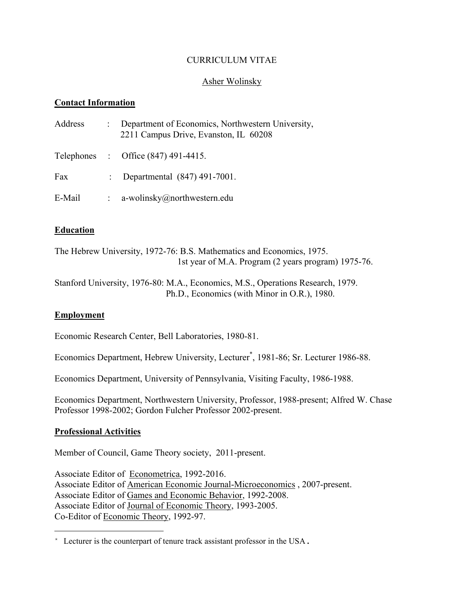## CURRICULUM VITAE

# Asher Wolinsky

## **Contact Information**

| Address | $\mathcal{L}$ | Department of Economics, Northwestern University,<br>2211 Campus Drive, Evanston, IL 60208 |
|---------|---------------|--------------------------------------------------------------------------------------------|
|         |               | Telephones : Office $(847)$ 491-4415.                                                      |
| Fax     |               | : Departmental (847) 491-7001.                                                             |
| E-Mail  |               | a-wolinsky@northwestern.edu                                                                |

# **Education**

The Hebrew University, 1972-76: B.S. Mathematics and Economics, 1975. 1st year of M.A. Program (2 years program) 1975-76.

Stanford University, 1976-80: M.A., Economics, M.S., Operations Research, 1979. Ph.D., Economics (with Minor in O.R.), 1980.

## **Employment**

Economic Research Center, Bell Laboratories, 1980-81.

Economics Department, Hebrew University, Lecturer\* , 1981-86; Sr. Lecturer 1986-88.

Economics Department, University of Pennsylvania, Visiting Faculty, 1986-1988.

Economics Department, Northwestern University, Professor, 1988-present; Alfred W. Chase Professor 1998-2002; Gordon Fulcher Professor 2002-present.

## **Professional Activities**

i

Member of Council, Game Theory society, 2011-present.

Associate Editor of Econometrica, 1992-2016. Associate Editor of American Economic Journal-Microeconomics , 2007-present. Associate Editor of Games and Economic Behavior, 1992-2008. Associate Editor of Journal of Economic Theory, 1993-2005. Co-Editor of Economic Theory, 1992-97.

<sup>\*</sup> Lecturer is the counterpart of tenure track assistant professor in the USA.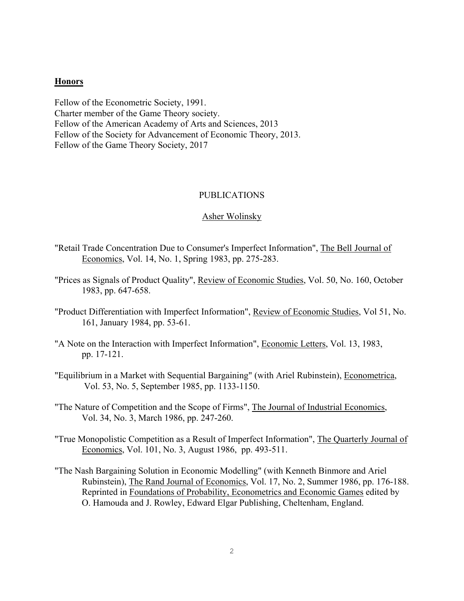### **Honors**

Fellow of the Econometric Society, 1991. Charter member of the Game Theory society. Fellow of the American Academy of Arts and Sciences, 2013 Fellow of the Society for Advancement of Economic Theory, 2013. Fellow of the Game Theory Society, 2017

#### PUBLICATIONS

### Asher Wolinsky

- "Retail Trade Concentration Due to Consumer's Imperfect Information", The Bell Journal of Economics, Vol. 14, No. 1, Spring 1983, pp. 275-283.
- "Prices as Signals of Product Quality", Review of Economic Studies, Vol. 50, No. 160, October 1983, pp. 647-658.
- "Product Differentiation with Imperfect Information", Review of Economic Studies, Vol 51, No. 161, January 1984, pp. 53-61.
- "A Note on the Interaction with Imperfect Information", Economic Letters, Vol. 13, 1983, pp. 17-121.
- "Equilibrium in a Market with Sequential Bargaining" (with Ariel Rubinstein), Econometrica, Vol. 53, No. 5, September 1985, pp. 1133-1150.
- "The Nature of Competition and the Scope of Firms", The Journal of Industrial Economics, Vol. 34, No. 3, March 1986, pp. 247-260.
- "True Monopolistic Competition as a Result of Imperfect Information", The Quarterly Journal of Economics, Vol. 101, No. 3, August 1986, pp. 493-511.
- "The Nash Bargaining Solution in Economic Modelling" (with Kenneth Binmore and Ariel Rubinstein), The Rand Journal of Economics, Vol. 17, No. 2, Summer 1986, pp. 176-188. Reprinted in Foundations of Probability, Econometrics and Economic Games edited by O. Hamouda and J. Rowley, Edward Elgar Publishing, Cheltenham, England.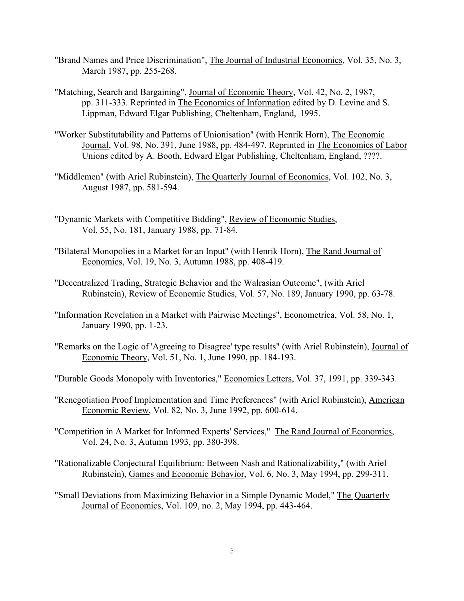- "Brand Names and Price Discrimination", The Journal of Industrial Economics, Vol. 35, No. 3, March 1987, pp. 255-268.
- "Matching, Search and Bargaining", Journal of Economic Theory, Vol. 42, No. 2, 1987, pp. 311-333. Reprinted in The Economics of Information edited by D. Levine and S. Lippman, Edward Elgar Publishing, Cheltenham, England, 1995.
- "Worker Substitutability and Patterns of Unionisation" (with Henrik Horn), The Economic Journal, Vol. 98, No. 391, June 1988, pp. 484-497. Reprinted in The Economics of Labor Unions edited by A. Booth, Edward Elgar Publishing, Cheltenham, England, ????.
- "Middlemen" (with Ariel Rubinstein), The Quarterly Journal of Economics, Vol. 102, No. 3, August 1987, pp. 581-594.
- "Dynamic Markets with Competitive Bidding", Review of Economic Studies, Vol. 55, No. 181, January 1988, pp. 71-84.
- "Bilateral Monopolies in a Market for an Input" (with Henrik Horn), The Rand Journal of Economics, Vol. 19, No. 3, Autumn 1988, pp. 408-419.
- "Decentralized Trading, Strategic Behavior and the Walrasian Outcome", (with Ariel Rubinstein), Review of Economic Studies, Vol. 57, No. 189, January 1990, pp. 63-78.
- "Information Revelation in a Market with Pairwise Meetings", Econometrica, Vol. 58, No. 1, January 1990, pp. 1-23.
- "Remarks on the Logic of 'Agreeing to Disagree' type results" (with Ariel Rubinstein), Journal of Economic Theory, Vol. 51, No. 1, June 1990, pp. 184-193.
- "Durable Goods Monopoly with Inventories," Economics Letters, Vol. 37, 1991, pp. 339-343.
- "Renegotiation Proof Implementation and Time Preferences" (with Ariel Rubinstein), American Economic Review, Vol. 82, No. 3, June 1992, pp. 600-614.
- "Competition in A Market for Informed Experts' Services," The Rand Journal of Economics, Vol. 24, No. 3, Autumn 1993, pp. 380-398.
- "Rationalizable Conjectural Equilibrium: Between Nash and Rationalizability," (with Ariel Rubinstein), Games and Economic Behavior, Vol. 6, No. 3, May 1994, pp. 299-311.
- "Small Deviations from Maximizing Behavior in a Simple Dynamic Model," The Quarterly Journal of Economics, Vol. 109, no. 2, May 1994, pp. 443-464.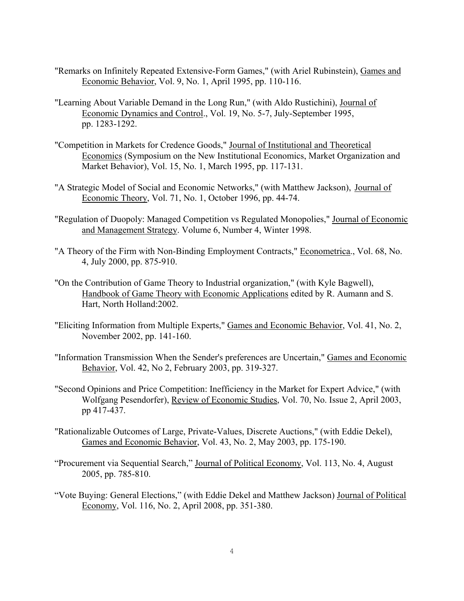- "Remarks on Infinitely Repeated Extensive-Form Games," (with Ariel Rubinstein), Games and Economic Behavior, Vol. 9, No. 1, April 1995, pp. 110-116.
- "Learning About Variable Demand in the Long Run," (with Aldo Rustichini), Journal of Economic Dynamics and Control., Vol. 19, No. 5-7, July-September 1995, pp. 1283-1292.
- "Competition in Markets for Credence Goods," Journal of Institutional and Theoretical Economics (Symposium on the New Institutional Economics, Market Organization and Market Behavior), Vol. 15, No. 1, March 1995, pp. 117-131.
- "A Strategic Model of Social and Economic Networks," (with Matthew Jackson), Journal of Economic Theory, Vol. 71, No. 1, October 1996, pp. 44-74.
- "Regulation of Duopoly: Managed Competition vs Regulated Monopolies," Journal of Economic and Management Strategy. Volume 6, Number 4, Winter 1998.
- "A Theory of the Firm with Non-Binding Employment Contracts," Econometrica., Vol. 68, No. 4, July 2000, pp. 875-910.
- "On the Contribution of Game Theory to Industrial organization," (with Kyle Bagwell), Handbook of Game Theory with Economic Applications edited by R. Aumann and S. Hart, North Holland:2002.
- "Eliciting Information from Multiple Experts," Games and Economic Behavior, Vol. 41, No. 2, November 2002, pp. 141-160.
- "Information Transmission When the Sender's preferences are Uncertain," Games and Economic Behavior, Vol. 42, No 2, February 2003, pp. 319-327.
- "Second Opinions and Price Competition: Inefficiency in the Market for Expert Advice," (with Wolfgang Pesendorfer), Review of Economic Studies, Vol. 70, No. Issue 2, April 2003, pp 417-437.
- "Rationalizable Outcomes of Large, Private-Values, Discrete Auctions," (with Eddie Dekel), Games and Economic Behavior, Vol. 43, No. 2, May 2003, pp. 175-190.
- "Procurement via Sequential Search," Journal of Political Economy, Vol. 113, No. 4, August 2005, pp. 785-810.
- "Vote Buying: General Elections," (with Eddie Dekel and Matthew Jackson) Journal of Political Economy, Vol. 116, No. 2, April 2008, pp. 351-380.